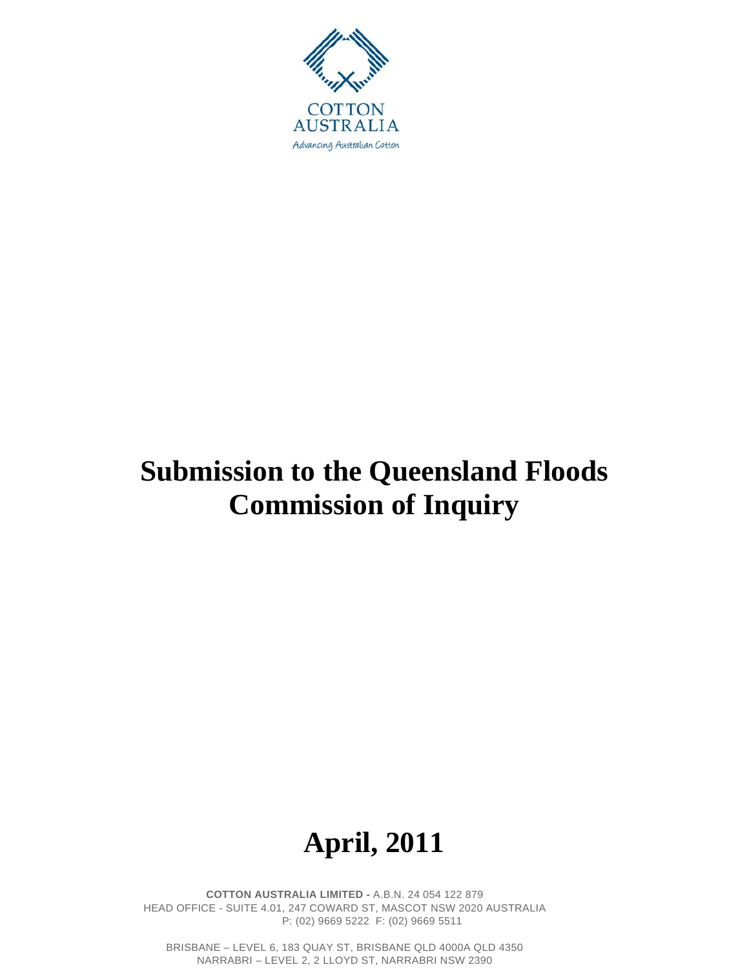

# **Submission to the Queensland Floods Commission of Inquiry**

# **April, 2011**

**COTTON AUSTRALIA LIMITED -** A.B.N. 24 054 122 879 HEAD OFFICE - SUITE 4.01, 247 COWARD ST, MASCOT NSW 2020 AUSTRALIA P: (02) 9669 5222 F: (02) 9669 5511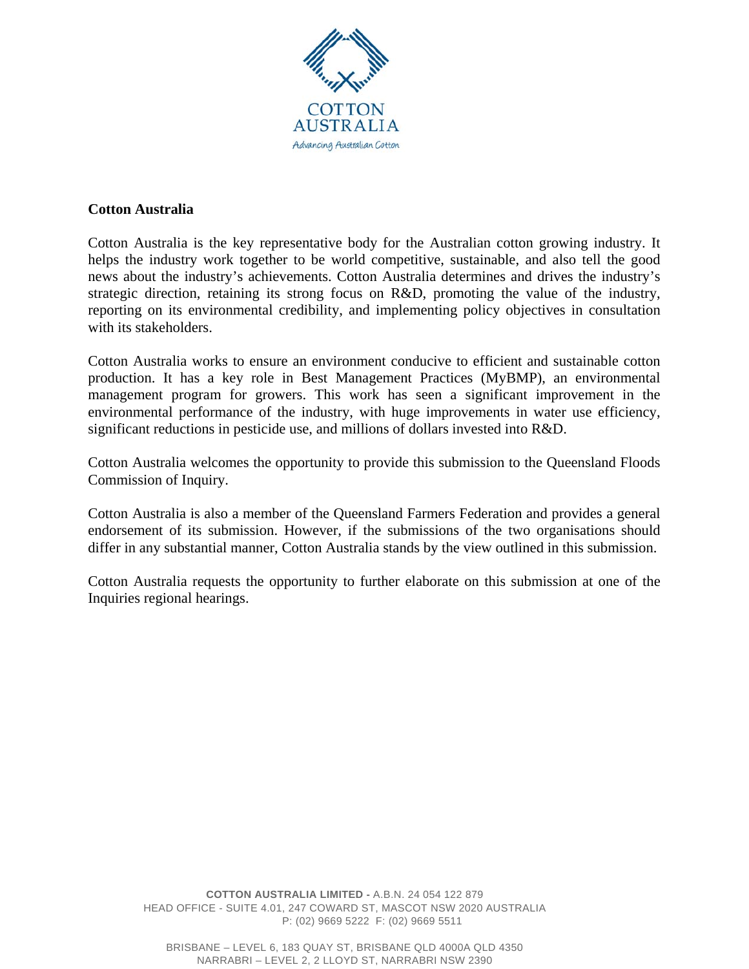

### **Cotton Australia**

Cotton Australia is the key representative body for the Australian cotton growing industry. It helps the industry work together to be world competitive, sustainable, and also tell the good news about the industry's achievements. Cotton Australia determines and drives the industry's strategic direction, retaining its strong focus on R&D, promoting the value of the industry, reporting on its environmental credibility, and implementing policy objectives in consultation with its stakeholders.

Cotton Australia works to ensure an environment conducive to efficient and sustainable cotton production. It has a key role in Best Management Practices (MyBMP), an environmental management program for growers. This work has seen a significant improvement in the environmental performance of the industry, with huge improvements in water use efficiency, significant reductions in pesticide use, and millions of dollars invested into R&D.

Cotton Australia welcomes the opportunity to provide this submission to the Queensland Floods Commission of Inquiry.

Cotton Australia is also a member of the Queensland Farmers Federation and provides a general endorsement of its submission. However, if the submissions of the two organisations should differ in any substantial manner, Cotton Australia stands by the view outlined in this submission.

Cotton Australia requests the opportunity to further elaborate on this submission at one of the Inquiries regional hearings.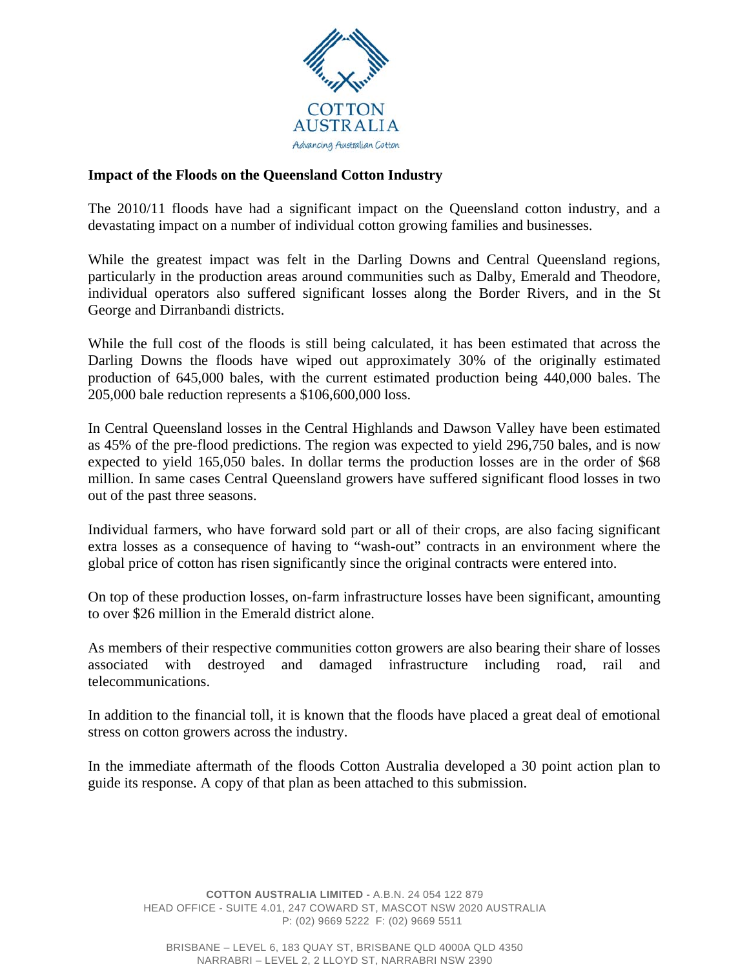

### **Impact of the Floods on the Queensland Cotton Industry**

The 2010/11 floods have had a significant impact on the Queensland cotton industry, and a devastating impact on a number of individual cotton growing families and businesses.

While the greatest impact was felt in the Darling Downs and Central Queensland regions, particularly in the production areas around communities such as Dalby, Emerald and Theodore, individual operators also suffered significant losses along the Border Rivers, and in the St George and Dirranbandi districts.

While the full cost of the floods is still being calculated, it has been estimated that across the Darling Downs the floods have wiped out approximately 30% of the originally estimated production of 645,000 bales, with the current estimated production being 440,000 bales. The 205,000 bale reduction represents a \$106,600,000 loss.

In Central Queensland losses in the Central Highlands and Dawson Valley have been estimated as 45% of the pre-flood predictions. The region was expected to yield 296,750 bales, and is now expected to yield 165,050 bales. In dollar terms the production losses are in the order of \$68 million. In same cases Central Queensland growers have suffered significant flood losses in two out of the past three seasons.

Individual farmers, who have forward sold part or all of their crops, are also facing significant extra losses as a consequence of having to "wash-out" contracts in an environment where the global price of cotton has risen significantly since the original contracts were entered into.

On top of these production losses, on-farm infrastructure losses have been significant, amounting to over \$26 million in the Emerald district alone.

As members of their respective communities cotton growers are also bearing their share of losses associated with destroyed and damaged infrastructure including road, rail and telecommunications.

In addition to the financial toll, it is known that the floods have placed a great deal of emotional stress on cotton growers across the industry.

In the immediate aftermath of the floods Cotton Australia developed a 30 point action plan to guide its response. A copy of that plan as been attached to this submission.

**COTTON AUSTRALIA LIMITED -** A.B.N. 24 054 122 879 HEAD OFFICE - SUITE 4.01, 247 COWARD ST, MASCOT NSW 2020 AUSTRALIA P: (02) 9669 5222 F: (02) 9669 5511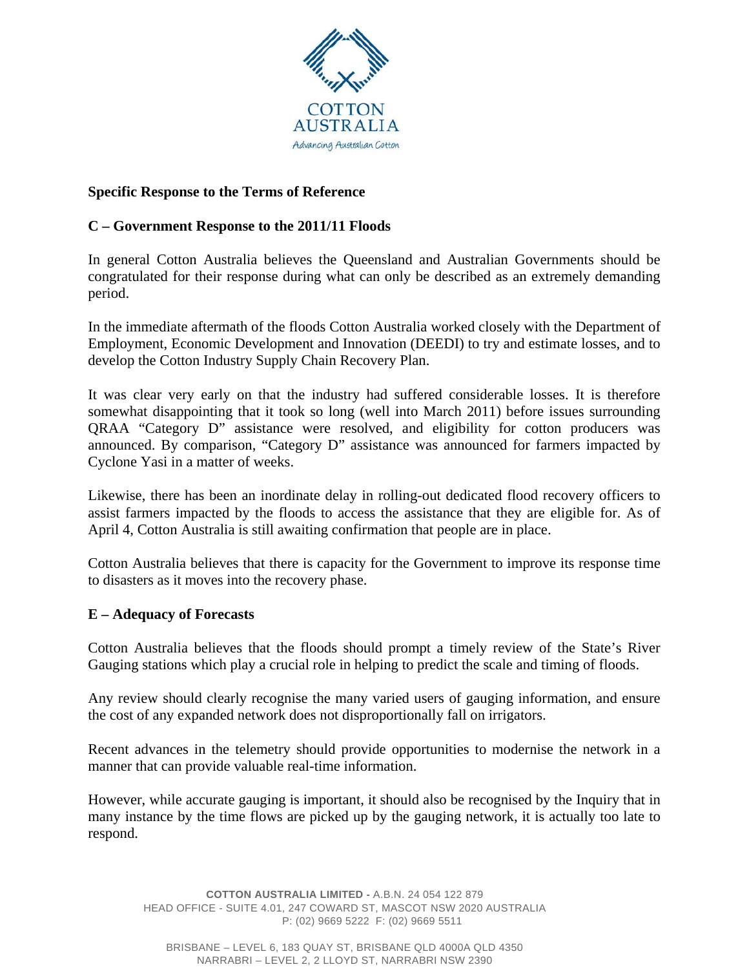

# **Specific Response to the Terms of Reference**

# **C – Government Response to the 2011/11 Floods**

In general Cotton Australia believes the Queensland and Australian Governments should be congratulated for their response during what can only be described as an extremely demanding period.

In the immediate aftermath of the floods Cotton Australia worked closely with the Department of Employment, Economic Development and Innovation (DEEDI) to try and estimate losses, and to develop the Cotton Industry Supply Chain Recovery Plan.

It was clear very early on that the industry had suffered considerable losses. It is therefore somewhat disappointing that it took so long (well into March 2011) before issues surrounding QRAA "Category D" assistance were resolved, and eligibility for cotton producers was announced. By comparison, "Category D" assistance was announced for farmers impacted by Cyclone Yasi in a matter of weeks.

Likewise, there has been an inordinate delay in rolling-out dedicated flood recovery officers to assist farmers impacted by the floods to access the assistance that they are eligible for. As of April 4, Cotton Australia is still awaiting confirmation that people are in place.

Cotton Australia believes that there is capacity for the Government to improve its response time to disasters as it moves into the recovery phase.

#### **E – Adequacy of Forecasts**

Cotton Australia believes that the floods should prompt a timely review of the State's River Gauging stations which play a crucial role in helping to predict the scale and timing of floods.

Any review should clearly recognise the many varied users of gauging information, and ensure the cost of any expanded network does not disproportionally fall on irrigators.

Recent advances in the telemetry should provide opportunities to modernise the network in a manner that can provide valuable real-time information.

However, while accurate gauging is important, it should also be recognised by the Inquiry that in many instance by the time flows are picked up by the gauging network, it is actually too late to respond.

**COTTON AUSTRALIA LIMITED -** A.B.N. 24 054 122 879 HEAD OFFICE - SUITE 4.01, 247 COWARD ST, MASCOT NSW 2020 AUSTRALIA P: (02) 9669 5222 F: (02) 9669 5511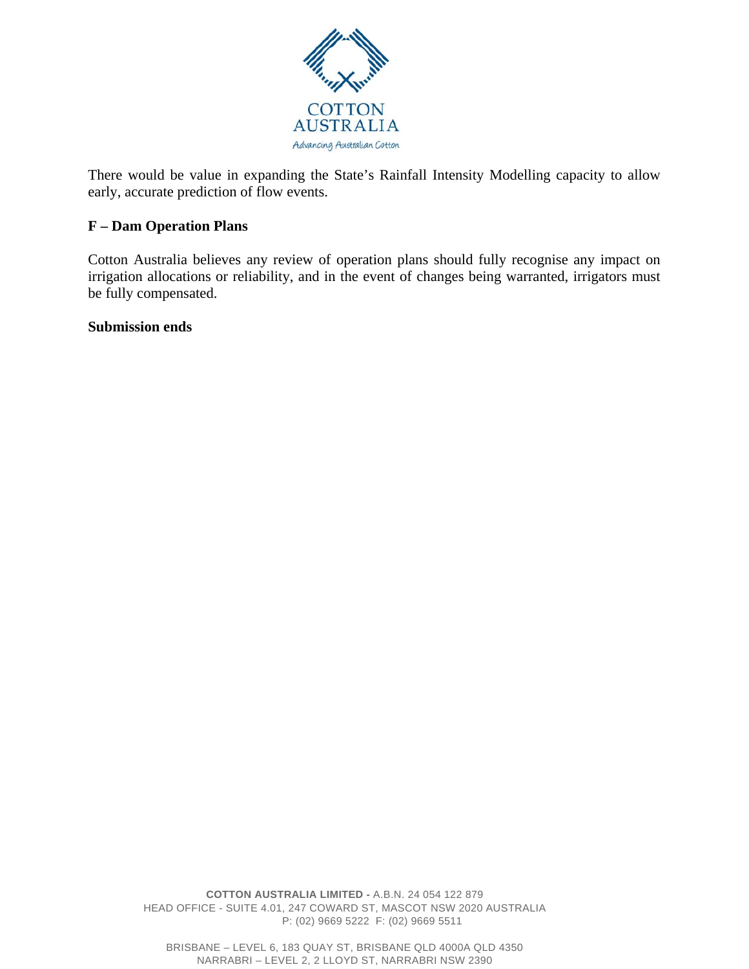

There would be value in expanding the State's Rainfall Intensity Modelling capacity to allow early, accurate prediction of flow events.

# **F – Dam Operation Plans**

Cotton Australia believes any review of operation plans should fully recognise any impact on irrigation allocations or reliability, and in the event of changes being warranted, irrigators must be fully compensated.

## **Submission ends**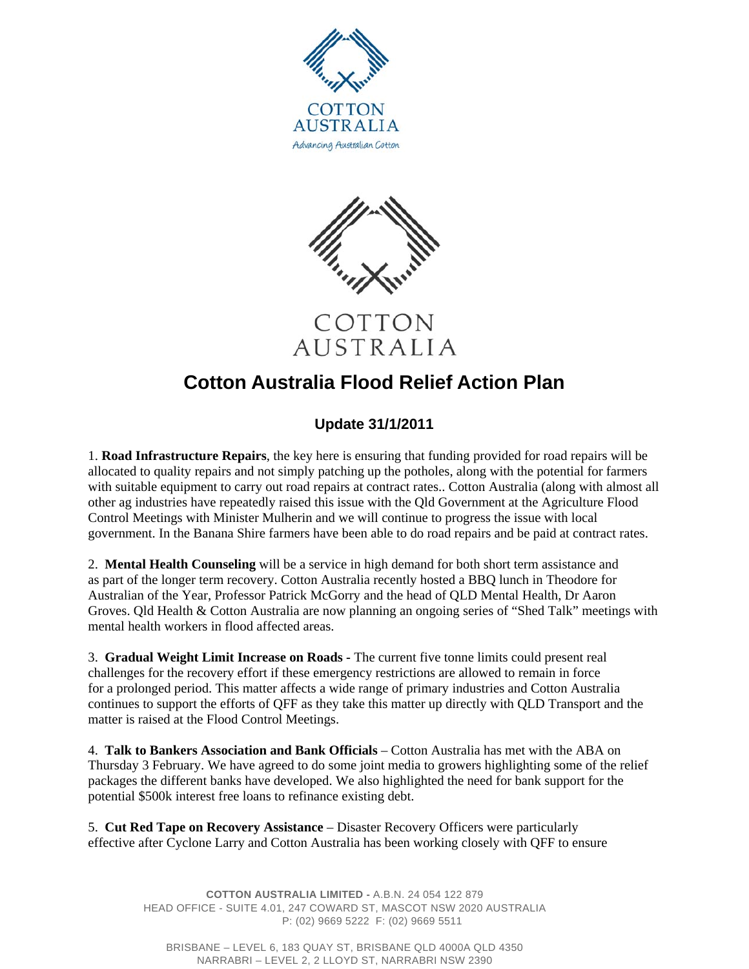



COTTON AUSTRALIA

# **Cotton Australia Flood Relief Action Plan**

# **Update 31/1/2011**

1. **Road Infrastructure Repairs**, the key here is ensuring that funding provided for road repairs will be allocated to quality repairs and not simply patching up the potholes, along with the potential for farmers with suitable equipment to carry out road repairs at contract rates.. Cotton Australia (along with almost all other ag industries have repeatedly raised this issue with the Qld Government at the Agriculture Flood Control Meetings with Minister Mulherin and we will continue to progress the issue with local government. In the Banana Shire farmers have been able to do road repairs and be paid at contract rates.

2. **Mental Health Counseling** will be a service in high demand for both short term assistance and as part of the longer term recovery. Cotton Australia recently hosted a BBQ lunch in Theodore for Australian of the Year, Professor Patrick McGorry and the head of QLD Mental Health, Dr Aaron Groves. Qld Health & Cotton Australia are now planning an ongoing series of "Shed Talk" meetings with mental health workers in flood affected areas.

3. **Gradual Weight Limit Increase on Roads -** The current five tonne limits could present real challenges for the recovery effort if these emergency restrictions are allowed to remain in force for a prolonged period. This matter affects a wide range of primary industries and Cotton Australia continues to support the efforts of QFF as they take this matter up directly with QLD Transport and the matter is raised at the Flood Control Meetings.

4. **Talk to Bankers Association and Bank Officials** – Cotton Australia has met with the ABA on Thursday 3 February. We have agreed to do some joint media to growers highlighting some of the relief packages the different banks have developed. We also highlighted the need for bank support for the potential \$500k interest free loans to refinance existing debt.

5. **Cut Red Tape on Recovery Assistance** – Disaster Recovery Officers were particularly effective after Cyclone Larry and Cotton Australia has been working closely with QFF to ensure

> **COTTON AUSTRALIA LIMITED -** A.B.N. 24 054 122 879 HEAD OFFICE - SUITE 4.01, 247 COWARD ST, MASCOT NSW 2020 AUSTRALIA P: (02) 9669 5222 F: (02) 9669 5511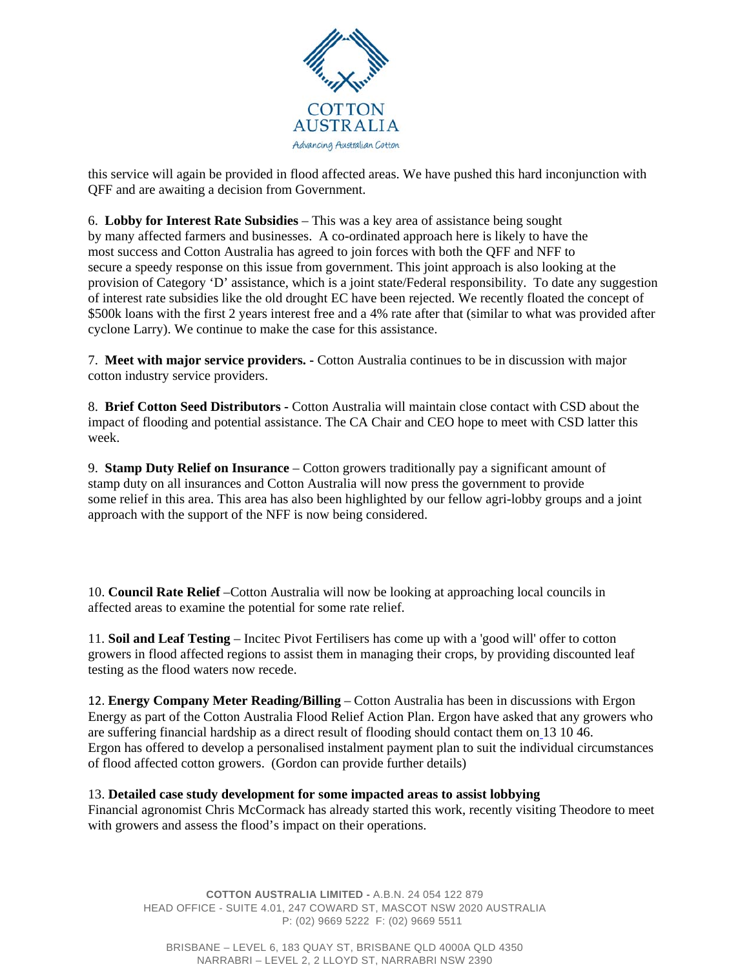

this service will again be provided in flood affected areas. We have pushed this hard inconjunction with QFF and are awaiting a decision from Government.

6. **Lobby for Interest Rate Subsidies** – This was a key area of assistance being sought by many affected farmers and businesses. A co-ordinated approach here is likely to have the most success and Cotton Australia has agreed to join forces with both the QFF and NFF to secure a speedy response on this issue from government. This joint approach is also looking at the provision of Category 'D' assistance, which is a joint state/Federal responsibility. To date any suggestion of interest rate subsidies like the old drought EC have been rejected. We recently floated the concept of \$500k loans with the first 2 years interest free and a 4% rate after that (similar to what was provided after cyclone Larry). We continue to make the case for this assistance.

7. **Meet with major service providers. -** Cotton Australia continues to be in discussion with major cotton industry service providers.

8. **Brief Cotton Seed Distributors -** Cotton Australia will maintain close contact with CSD about the impact of flooding and potential assistance. The CA Chair and CEO hope to meet with CSD latter this week.

9. **Stamp Duty Relief on Insurance** – Cotton growers traditionally pay a significant amount of stamp duty on all insurances and Cotton Australia will now press the government to provide some relief in this area. This area has also been highlighted by our fellow agri-lobby groups and a joint approach with the support of the NFF is now being considered.

10. **Council Rate Relief** –Cotton Australia will now be looking at approaching local councils in affected areas to examine the potential for some rate relief.

11. **Soil and Leaf Testing** – Incitec Pivot Fertilisers has come up with a 'good will' offer to cotton growers in flood affected regions to assist them in managing their crops, by providing discounted leaf testing as the flood waters now recede.

12. **Energy Company Meter Reading/Billing** – Cotton Australia has been in discussions with Ergon Energy as part of the Cotton Australia Flood Relief Action Plan. Ergon have asked that any growers who are suffering financial hardship as a direct result of flooding should contact them on 13 10 46. Ergon has offered to develop a personalised instalment payment plan to suit the individual circumstances of flood affected cotton growers. (Gordon can provide further details)

#### 13. **Detailed case study development for some impacted areas to assist lobbying**

Financial agronomist Chris McCormack has already started this work, recently visiting Theodore to meet with growers and assess the flood's impact on their operations.

**COTTON AUSTRALIA LIMITED -** A.B.N. 24 054 122 879 HEAD OFFICE - SUITE 4.01, 247 COWARD ST, MASCOT NSW 2020 AUSTRALIA P: (02) 9669 5222 F: (02) 9669 5511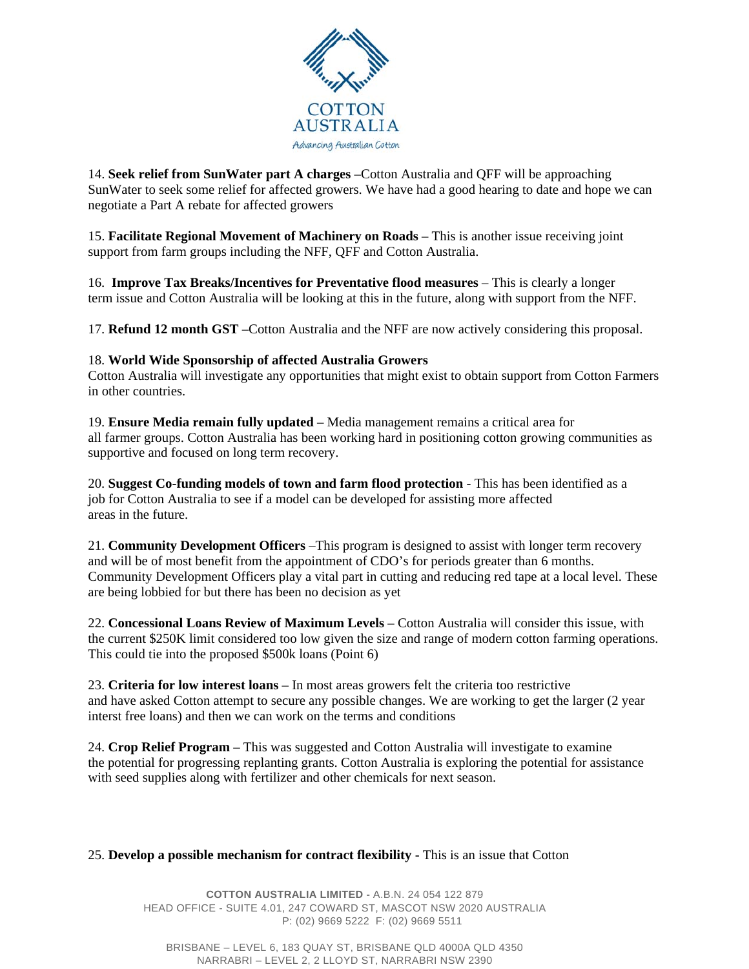

14. **Seek relief from SunWater part A charges** –Cotton Australia and QFF will be approaching SunWater to seek some relief for affected growers. We have had a good hearing to date and hope we can negotiate a Part A rebate for affected growers

15. **Facilitate Regional Movement of Machinery on Roads** – This is another issue receiving joint support from farm groups including the NFF, QFF and Cotton Australia.

16. **Improve Tax Breaks/Incentives for Preventative flood measures** – This is clearly a longer term issue and Cotton Australia will be looking at this in the future, along with support from the NFF.

17. **Refund 12 month GST** –Cotton Australia and the NFF are now actively considering this proposal.

#### 18. **World Wide Sponsorship of affected Australia Growers**

Cotton Australia will investigate any opportunities that might exist to obtain support from Cotton Farmers in other countries.

19. **Ensure Media remain fully updated** – Media management remains a critical area for all farmer groups. Cotton Australia has been working hard in positioning cotton growing communities as supportive and focused on long term recovery.

20. **Suggest Co-funding models of town and farm flood protection** - This has been identified as a job for Cotton Australia to see if a model can be developed for assisting more affected areas in the future.

21. **Community Development Officers** –This program is designed to assist with longer term recovery and will be of most benefit from the appointment of CDO's for periods greater than 6 months. Community Development Officers play a vital part in cutting and reducing red tape at a local level. These are being lobbied for but there has been no decision as yet

22. **Concessional Loans Review of Maximum Levels** – Cotton Australia will consider this issue, with the current \$250K limit considered too low given the size and range of modern cotton farming operations. This could tie into the proposed \$500k loans (Point 6)

23. **Criteria for low interest loans** – In most areas growers felt the criteria too restrictive and have asked Cotton attempt to secure any possible changes. We are working to get the larger (2 year interst free loans) and then we can work on the terms and conditions

24. **Crop Relief Program** – This was suggested and Cotton Australia will investigate to examine the potential for progressing replanting grants. Cotton Australia is exploring the potential for assistance with seed supplies along with fertilizer and other chemicals for next season.

#### 25. **Develop a possible mechanism for contract flexibility** - This is an issue that Cotton

**COTTON AUSTRALIA LIMITED -** A.B.N. 24 054 122 879 HEAD OFFICE - SUITE 4.01, 247 COWARD ST, MASCOT NSW 2020 AUSTRALIA P: (02) 9669 5222 F: (02) 9669 5511